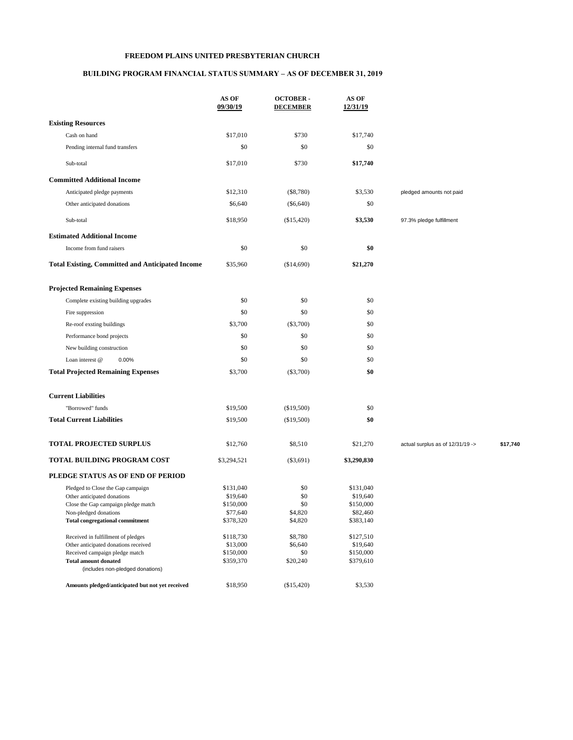## **FREEDOM PLAINS UNITED PRESBYTERIAN CHURCH**

## **BUILDING PROGRAM FINANCIAL STATUS SUMMARY – AS OF DECEMBER 31, 2019**

|                                                                            | AS OF<br>09/30/19     | <b>OCTOBER-</b><br><b>DECEMBER</b> | AS OF<br>12/31/19     |                                  |          |
|----------------------------------------------------------------------------|-----------------------|------------------------------------|-----------------------|----------------------------------|----------|
| <b>Existing Resources</b>                                                  |                       |                                    |                       |                                  |          |
| Cash on hand                                                               | \$17,010              | \$730                              | \$17,740              |                                  |          |
| Pending internal fund transfers                                            | \$0                   | \$0                                | \$0                   |                                  |          |
| Sub-total                                                                  | \$17,010              | \$730                              | \$17,740              |                                  |          |
| <b>Committed Additional Income</b>                                         |                       |                                    |                       |                                  |          |
| Anticipated pledge payments                                                | \$12,310              | $(\$8,780)$                        | \$3,530               | pledged amounts not paid         |          |
| Other anticipated donations                                                | \$6,640               | $(\$6,640)$                        | \$0                   |                                  |          |
| Sub-total                                                                  | \$18,950              | (\$15,420)                         | \$3,530               | 97.3% pledge fulfillment         |          |
| <b>Estimated Additional Income</b>                                         |                       |                                    |                       |                                  |          |
| Income from fund raisers                                                   | \$0                   | \$0                                | \$0                   |                                  |          |
| <b>Total Existing, Committed and Anticipated Income</b>                    | \$35,960              | (\$14,690)                         | \$21,270              |                                  |          |
| <b>Projected Remaining Expenses</b>                                        |                       |                                    |                       |                                  |          |
| Complete existing building upgrades                                        | \$0                   | \$0                                | \$0                   |                                  |          |
| Fire suppression                                                           | \$0                   | \$0                                | \$0                   |                                  |          |
|                                                                            |                       |                                    |                       |                                  |          |
| Re-roof exsting buildings                                                  | \$3,700               | $(\$3,700)$                        | \$0                   |                                  |          |
| Performance bond projects                                                  | \$0                   | \$0                                | \$0                   |                                  |          |
| New building construction                                                  | \$0                   | \$0                                | \$0                   |                                  |          |
| Loan interest @<br>0.00%                                                   | \$0                   | \$0                                | \$0                   |                                  |          |
| <b>Total Projected Remaining Expenses</b>                                  | \$3,700               | $(\$3,700)$                        | \$0                   |                                  |          |
| <b>Current Liabilities</b>                                                 |                       |                                    |                       |                                  |          |
| "Borrowed" funds                                                           | \$19,500              | (\$19,500)                         | \$0                   |                                  |          |
| <b>Total Current Liabilities</b>                                           | \$19,500              | (\$19,500)                         | \$0                   |                                  |          |
| <b>TOTAL PROJECTED SURPLUS</b>                                             | \$12,760              | \$8,510                            | \$21,270              | actual surplus as of 12/31/19 -> | \$17,740 |
| TOTAL BUILDING PROGRAM COST                                                | \$3,294,521           | $(\$3,691)$                        | \$3,290,830           |                                  |          |
| PLEDGE STATUS AS OF END OF PERIOD                                          |                       |                                    |                       |                                  |          |
| Pledged to Close the Gap campaign                                          | \$131,040             | \$0                                | \$131,040             |                                  |          |
| Other anticipated donations                                                | \$19,640              | \$0                                | \$19,640              |                                  |          |
| Close the Gap campaign pledge match<br>Non-pledged donations               | \$150,000             | \$0                                | \$150,000             |                                  |          |
| <b>Total congregational commitment</b>                                     | \$77,640<br>\$378,320 | \$4,820<br>\$4,820                 | \$82,460<br>\$383,140 |                                  |          |
|                                                                            |                       |                                    |                       |                                  |          |
| Received in fulfillment of pledges<br>Other anticipated donations received | \$118,730<br>\$13,000 | \$8,780<br>\$6,640                 | \$127,510<br>\$19,640 |                                  |          |
| Received campaign pledge match                                             | \$150,000             | \$0                                | \$150,000             |                                  |          |
| <b>Total amount donated</b>                                                | \$359,370             | \$20,240                           | \$379,610             |                                  |          |
| (includes non-pledged donations)                                           |                       |                                    |                       |                                  |          |
| Amounts pledged/anticipated but not yet received                           | \$18,950              | (\$15,420)                         | \$3,530               |                                  |          |